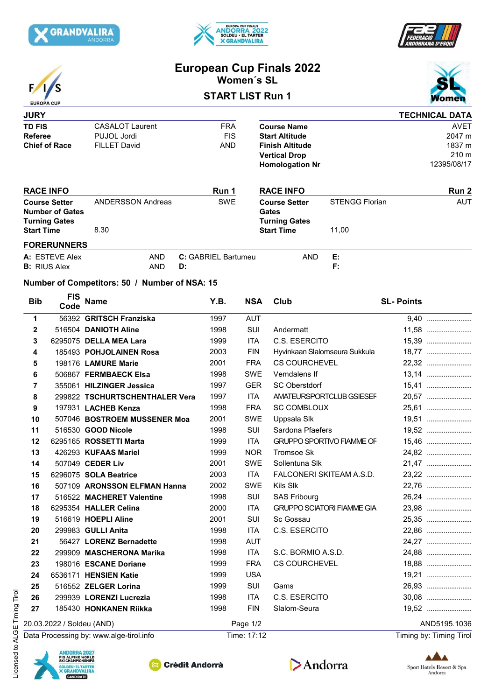





| <b>EUROPA CUP</b> |
|-------------------|

## **European Cup Finals 2022 Women´s SL START LIST Run 1**



| <b>JURY</b>                                    |                          |                     |                                      |                       | <b>TECHNICAL DATA</b> |
|------------------------------------------------|--------------------------|---------------------|--------------------------------------|-----------------------|-----------------------|
| <b>TD FIS</b>                                  | <b>CASALOT Laurent</b>   | <b>FRA</b>          | <b>Course Name</b>                   |                       | <b>AVET</b>           |
| <b>Referee</b>                                 | PUJOL Jordi              | <b>FIS</b>          | <b>Start Altitude</b>                |                       | 2047 m                |
| <b>Chief of Race</b>                           | <b>FILLET David</b>      | <b>AND</b>          | <b>Finish Altitude</b>               |                       | 1837 m                |
|                                                |                          |                     | <b>Vertical Drop</b>                 |                       | 210 <sub>m</sub>      |
|                                                |                          |                     | <b>Homologation Nr</b>               |                       | 12395/08/17           |
| <b>RACE INFO</b>                               |                          | Run 1               | <b>RACE INFO</b>                     |                       | Run 2                 |
| <b>Course Setter</b><br><b>Number of Gates</b> | <b>ANDERSSON Andreas</b> | <b>SWE</b>          | <b>Course Setter</b><br><b>Gates</b> | <b>STENGG Florian</b> | <b>AUT</b>            |
| <b>Turning Gates</b>                           |                          |                     | <b>Turning Gates</b>                 |                       |                       |
| <b>Start Time</b>                              | 8.30                     |                     | <b>Start Time</b>                    | 11,00                 |                       |
| <b>FORERUNNERS</b>                             |                          |                     |                                      |                       |                       |
| A: ESTEVE Alex                                 | <b>AND</b>               | C: GABRIEL Bartumeu | <b>AND</b>                           | Е.                    |                       |
| <b>B:</b> RIUS Alex                            | AND                      | D:                  |                                      | F:                    |                       |

## **Number of Competitors: 50 / Number of NSA: 15**

| <b>Bib</b>                | <b>FIS</b><br>Code | <b>Name</b>                    | Y.B.     | <b>NSA</b> | Club                              | <b>SL-Points</b> |
|---------------------------|--------------------|--------------------------------|----------|------------|-----------------------------------|------------------|
| 1                         |                    | 56392 GRITSCH Franziska        | 1997     | <b>AUT</b> |                                   | 9,40             |
| $\mathbf{2}$              |                    | 516504 DANIOTH Aline           | 1998     | <b>SUI</b> | Andermatt                         | 11,58            |
| 3                         |                    | 6295075 DELLA MEA Lara         | 1999     | <b>ITA</b> | C.S. ESERCITO                     |                  |
| 4                         |                    | 185493 POHJOLAINEN Rosa        | 2003     | <b>FIN</b> | Hyvinkaan Slalomseura Sukkula     |                  |
| 5                         |                    | 198176 LAMURE Marie            | 2001     | <b>FRA</b> | <b>CS COURCHEVEL</b>              | 22,32            |
| 6                         |                    | 506867 FERMBAECK Elsa          | 1998     | <b>SWE</b> | Vemdalens If                      | 13,14            |
| 7                         |                    | 355061 HILZINGER Jessica       | 1997     | <b>GER</b> | <b>SC Oberstdorf</b>              | 15,41            |
| 8                         |                    | 299822 TSCHURTSCHENTHALER Vera | 1997     | <b>ITA</b> | AMATEURSPORTCLUB GSIESEF          | 20,57            |
| 9                         |                    | 197931 LACHEB Kenza            | 1998     | <b>FRA</b> | <b>SC COMBLOUX</b>                | 25,61            |
| 10                        |                    | 507046 BOSTROEM MUSSENER Moa   | 2001     | <b>SWE</b> | Uppsala Slk                       | 19,51            |
| 11                        |                    | 516530 GOOD Nicole             | 1998     | <b>SUI</b> | Sardona Pfaefers                  | 19,52            |
| 12                        |                    | 6295165 ROSSETTI Marta         | 1999     | <b>ITA</b> | <b>GRUPPO SPORTIVO FIAMME OF</b>  | 15,46            |
| 13                        |                    | 426293 KUFAAS Mariel           | 1999     | <b>NOR</b> | Tromsoe Sk                        | 24,82            |
| 14                        |                    | 507049 CEDER Liv               | 2001     | <b>SWE</b> | Sollentuna Slk                    | 21,47            |
| 15                        |                    | 6296075 SOLA Beatrice          | 2003     | <b>ITA</b> | FALCONERI SKITEAM A.S.D.          | 23,22            |
| 16                        |                    | 507109 ARONSSON ELFMAN Hanna   | 2002     | <b>SWE</b> | Kils Slk                          | 22,76            |
| 17                        |                    | 516522 MACHERET Valentine      | 1998     | <b>SUI</b> | <b>SAS Fribourg</b>               | 26,24            |
| 18                        |                    | 6295354 HALLER Celina          | 2000     | <b>ITA</b> | <b>GRUPPO SCIATORI FIAMME GIA</b> | 23,98            |
| 19                        |                    | 516619 HOEPLI Aline            | 2001     | SUI        | Sc Gossau                         | 25,35            |
| 20                        |                    | 299983 GULLI Anita             | 1998     | <b>ITA</b> | C.S. ESERCITO                     | 22,86            |
| 21                        |                    | 56427 LORENZ Bernadette        | 1998     | <b>AUT</b> |                                   |                  |
| 22                        |                    | 299909 MASCHERONA Marika       | 1998     | <b>ITA</b> | S.C. BORMIO A.S.D.                | 24,88            |
| 23                        |                    | 198016 ESCANE Doriane          | 1999     | <b>FRA</b> | <b>CS COURCHEVEL</b>              | 18,88            |
| 24                        |                    | 6536171 HENSIEN Katie          | 1999     | <b>USA</b> |                                   | 19,21            |
| 25                        |                    | 516552 ZELGER Lorina           | 1999     | <b>SUI</b> | Gams                              | 26,93            |
| 26                        |                    | 299939 LORENZI Lucrezia        | 1998     | <b>ITA</b> | C.S. ESERCITO                     |                  |
| 27                        |                    | 185430 HONKANEN Riikka         | 1998     | <b>FIN</b> | Slalom-Seura                      | 19,52            |
| 20.03.2022 / Soldeu (AND) |                    |                                | Page 1/2 |            | AND5195.1036                      |                  |

Data Processing by: www.alge-tirol.info Time: 17:12 Time: 17:12 Timing by: Timing by: Timing Tirol